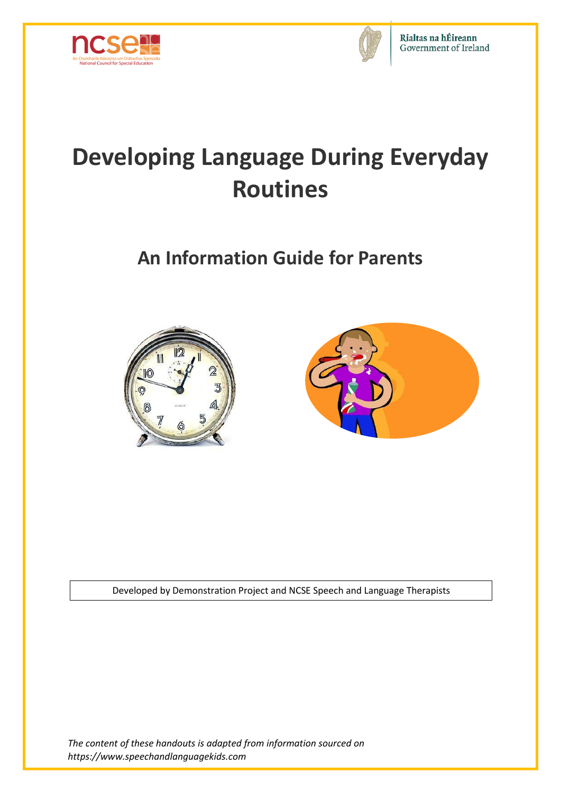



# **Developing Language During Everyday Routines**

# **An Information Guide for Parents**





Developed by Demonstration Project and NCSE Speech and Language Therapists

*The content of these handouts is adapted from information sourced on https://www.speechandlanguagekids.com*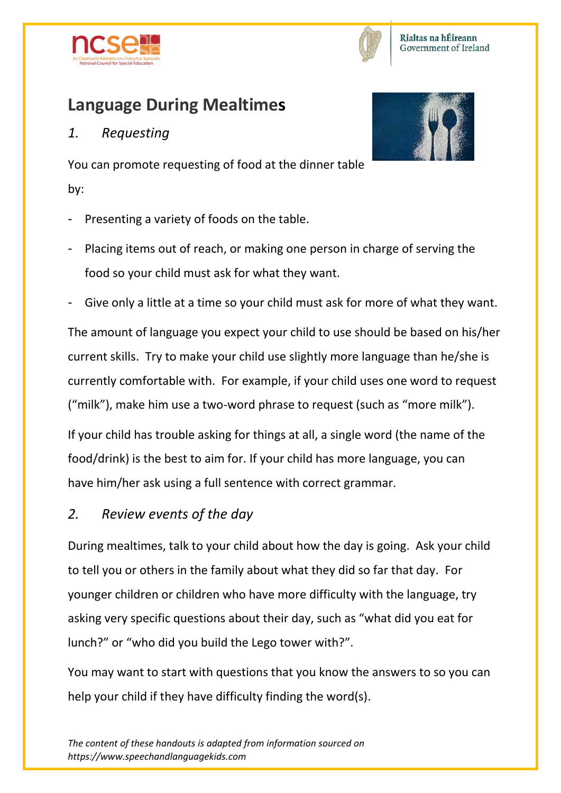



# **Language During Mealtimes**

#### *1. Requesting*



You can promote requesting of food at the dinner table by:

- Presenting a variety of foods on the table.
- Placing items out of reach, or making one person in charge of serving the food so your child must ask for what they want.
- Give only a little at a time so your child must ask for more of what they want.

The amount of language you expect your child to use should be based on his/her current skills. Try to make your child use slightly more language than he/she is currently comfortable with. For example, if your child uses one word to request ("milk"), make him use a two-word phrase to request (such as "more milk").

If your child has trouble asking for things at all, a single word (the name of the food/drink) is the best to aim for. If your child has more language, you can have him/her ask using a full sentence with correct grammar.

*2. Review events of the day*

During mealtimes, talk to your child about how the day is going. Ask your child to tell you or others in the family about what they did so far that day. For younger children or children who have more difficulty with the language, try asking very specific questions about their day, such as "what did you eat for lunch?" or "who did you build the Lego tower with?".

You may want to start with questions that you know the answers to so you can help your child if they have difficulty finding the word(s).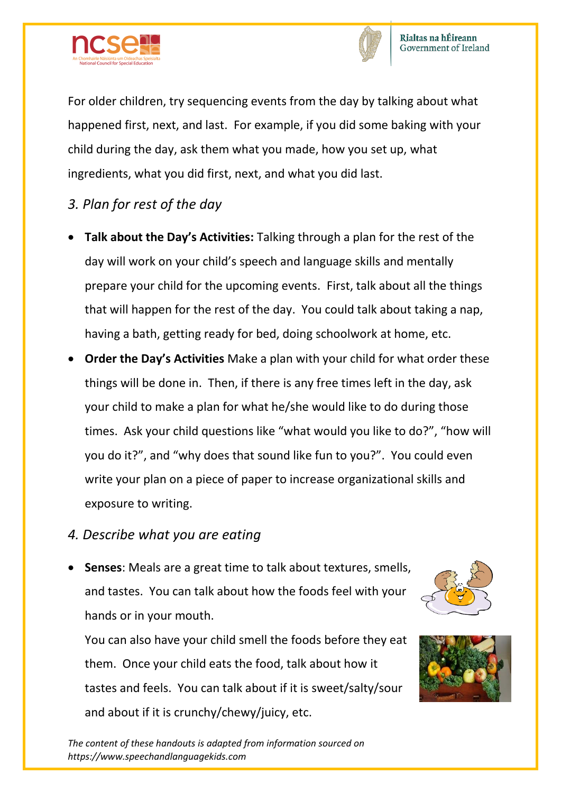



For older children, try sequencing events from the day by talking about what happened first, next, and last. For example, if you did some baking with your child during the day, ask them what you made, how you set up, what ingredients, what you did first, next, and what you did last.

- *3. Plan for rest of the day*
- **Talk about the Day's Activities:** Talking through a plan for the rest of the day will work on your child's speech and language skills and mentally prepare your child for the upcoming events. First, talk about all the things that will happen for the rest of the day. You could talk about taking a nap, having a bath, getting ready for bed, doing schoolwork at home, etc.
- **Order the Day's Activities** Make a plan with your child for what order these things will be done in. Then, if there is any free times left in the day, ask your child to make a plan for what he/she would like to do during those times. Ask your child questions like "what would you like to do?", "how will you do it?", and "why does that sound like fun to you?". You could even write your plan on a piece of paper to increase organizational skills and exposure to writing.

#### *4. Describe what you are eating*

 **Senses**: Meals are a great time to talk about textures, smells, and tastes. You can talk about how the foods feel with your hands or in your mouth.

You can also have your child smell the foods before they eat them. Once your child eats the food, talk about how it tastes and feels. You can talk about if it is sweet/salty/sour and about if it is crunchy/chewy/juicy, etc.





*The content of these handouts is adapted from information sourced on https://www.speechandlanguagekids.com*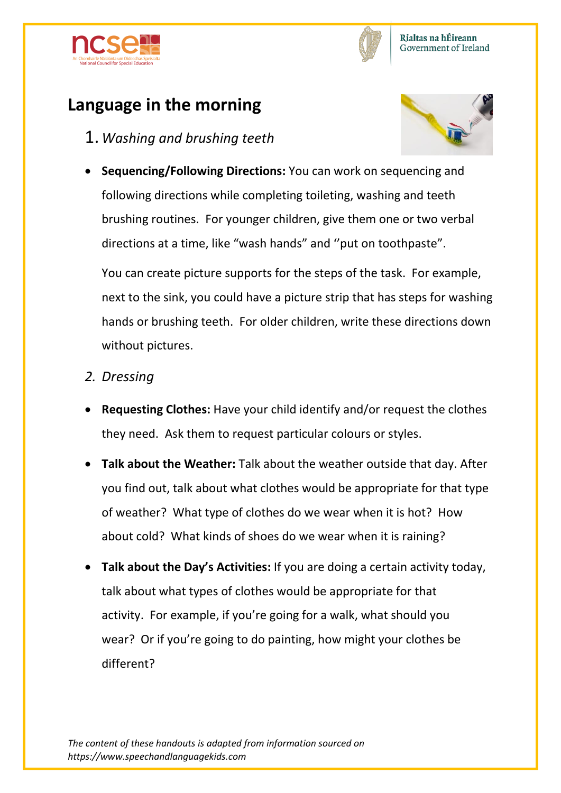



# **Language in the morning**

1. *Washing and brushing teeth*



 **Sequencing/Following Directions:** You can work on sequencing and following directions while completing toileting, washing and teeth brushing routines. For younger children, give them one or two verbal directions at a time, like "wash hands" and ''put on toothpaste".

You can create picture supports for the steps of the task. For example, next to the sink, you could have a picture strip that has steps for washing hands or brushing teeth. For older children, write these directions down without pictures.

- *2. Dressing*
- **Requesting Clothes:** Have your child identify and/or request the clothes they need. Ask them to request particular colours or styles.
- **Talk about the Weather:** Talk about the weather outside that day. After you find out, talk about what clothes would be appropriate for that type of weather? What type of clothes do we wear when it is hot? How about cold? What kinds of shoes do we wear when it is raining?
- **Talk about the Day's Activities:** If you are doing a certain activity today, talk about what types of clothes would be appropriate for that activity. For example, if you're going for a walk, what should you wear? Or if you're going to do painting, how might your clothes be different?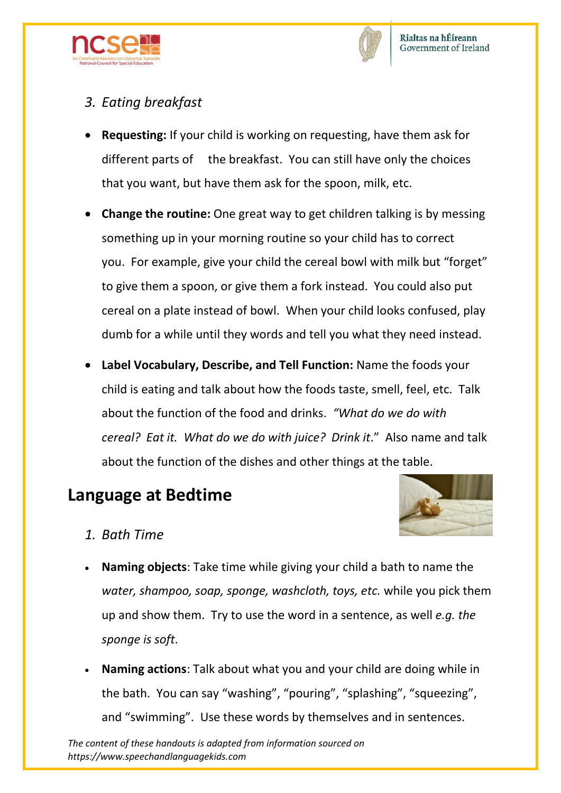



#### *3. Eating breakfast*

- **Requesting:** If your child is working on requesting, have them ask for different parts of the breakfast. You can still have only the choices that you want, but have them ask for the spoon, milk, etc.
- **Change the routine:** One great way to get children talking is by messing something up in your morning routine so your child has to correct you. For example, give your child the cereal bowl with milk but "forget" to give them a spoon, or give them a fork instead. You could also put cereal on a plate instead of bowl. When your child looks confused, play dumb for a while until they words and tell you what they need instead.
- **Label Vocabulary, Describe, and Tell Function:** Name the foods your child is eating and talk about how the foods taste, smell, feel, etc. Talk about the function of the food and drinks. *"What do we do with cereal? Eat it. What do we do with juice? Drink it*." Also name and talk about the function of the dishes and other things at the table.

### **Language at Bedtime**



- *1. Bath Time*
- **Naming objects**: Take time while giving your child a bath to name the *water, shampoo, soap, sponge, washcloth, toys, etc.* while you pick them up and show them. Try to use the word in a sentence, as well *e.g. the sponge is soft*.
- **Naming actions**: Talk about what you and your child are doing while in the bath. You can say "washing", "pouring", "splashing", "squeezing", and "swimming". Use these words by themselves and in sentences.

*The content of these handouts is adapted from information sourced on https://www.speechandlanguagekids.com*